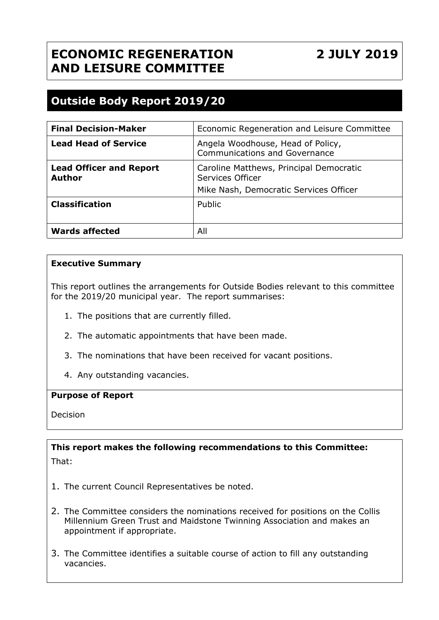# **ECONOMIC REGENERATION AND LEISURE COMMITTEE**

**2 JULY 2019**

## **Outside Body Report 2019/20**

| <b>Final Decision-Maker</b>                     | Economic Regeneration and Leisure Committee                                                           |
|-------------------------------------------------|-------------------------------------------------------------------------------------------------------|
| <b>Lead Head of Service</b>                     | Angela Woodhouse, Head of Policy,<br><b>Communications and Governance</b>                             |
| <b>Lead Officer and Report</b><br><b>Author</b> | Caroline Matthews, Principal Democratic<br>Services Officer<br>Mike Nash, Democratic Services Officer |
| <b>Classification</b>                           | Public                                                                                                |
| <b>Wards affected</b>                           | All                                                                                                   |

#### **Executive Summary**

This report outlines the arrangements for Outside Bodies relevant to this committee for the 2019/20 municipal year. The report summarises:

- 1. The positions that are currently filled.
- 2. The automatic appointments that have been made.
- 3. The nominations that have been received for vacant positions.
- 4. Any outstanding vacancies.

#### **Purpose of Report**

Decision

**This report makes the following recommendations to this Committee:** That:

- 1. The current Council Representatives be noted.
- 2. The Committee considers the nominations received for positions on the Collis Millennium Green Trust and Maidstone Twinning Association and makes an appointment if appropriate.
- 3. The Committee identifies a suitable course of action to fill any outstanding vacancies.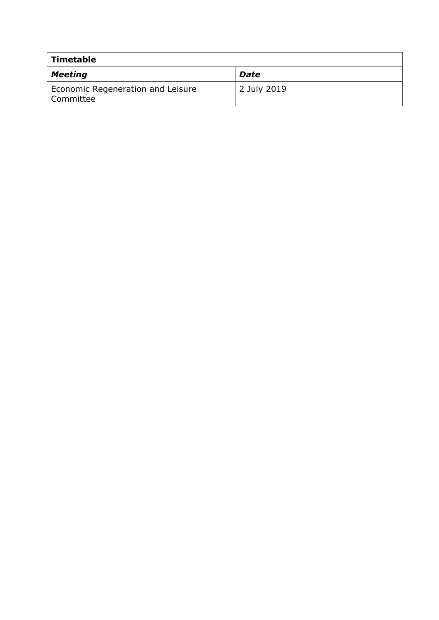| Timetable                                      |             |
|------------------------------------------------|-------------|
| Meeting                                        | <b>Date</b> |
| Economic Regeneration and Leisure<br>Committee | 2 July 2019 |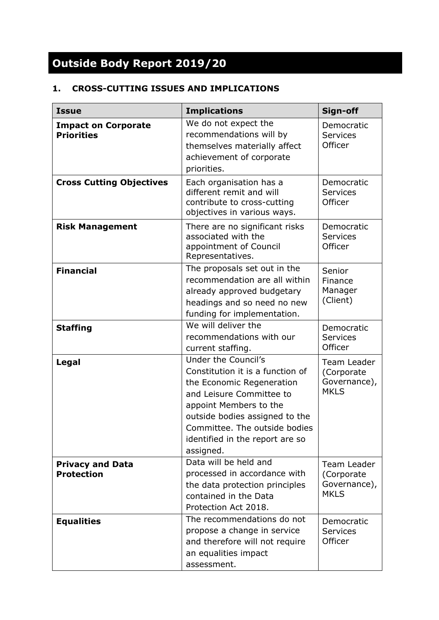# **Outside Body Report 2019/20**

## **1. CROSS-CUTTING ISSUES AND IMPLICATIONS**

| <b>Issue</b>                                    | <b>Implications</b>                                                                                                                                                                                                                                           | Sign-off                                                  |
|-------------------------------------------------|---------------------------------------------------------------------------------------------------------------------------------------------------------------------------------------------------------------------------------------------------------------|-----------------------------------------------------------|
| <b>Impact on Corporate</b><br><b>Priorities</b> | We do not expect the<br>recommendations will by<br>themselves materially affect<br>achievement of corporate<br>priorities.                                                                                                                                    | Democratic<br><b>Services</b><br>Officer                  |
| <b>Cross Cutting Objectives</b>                 | Each organisation has a<br>different remit and will<br>contribute to cross-cutting<br>objectives in various ways.                                                                                                                                             | Democratic<br><b>Services</b><br>Officer                  |
| <b>Risk Management</b>                          | There are no significant risks<br>associated with the<br>appointment of Council<br>Representatives.                                                                                                                                                           | Democratic<br><b>Services</b><br>Officer                  |
| <b>Financial</b>                                | The proposals set out in the<br>recommendation are all within<br>already approved budgetary<br>headings and so need no new<br>funding for implementation.                                                                                                     | Senior<br>Finance<br>Manager<br>(Client)                  |
| <b>Staffing</b>                                 | We will deliver the<br>recommendations with our<br>current staffing.                                                                                                                                                                                          | Democratic<br><b>Services</b><br>Officer                  |
| Legal                                           | Under the Council's<br>Constitution it is a function of<br>the Economic Regeneration<br>and Leisure Committee to<br>appoint Members to the<br>outside bodies assigned to the<br>Committee. The outside bodies<br>identified in the report are so<br>assigned. | Team Leader<br>(Corporate)<br>Governance),<br><b>MKLS</b> |
| <b>Privacy and Data</b><br><b>Protection</b>    | Data will be held and<br>processed in accordance with<br>the data protection principles<br>contained in the Data<br>Protection Act 2018.                                                                                                                      | Team Leader<br>(Corporate)<br>Governance),<br><b>MKLS</b> |
| <b>Equalities</b>                               | The recommendations do not<br>propose a change in service<br>and therefore will not require<br>an equalities impact<br>assessment.                                                                                                                            | Democratic<br><b>Services</b><br>Officer                  |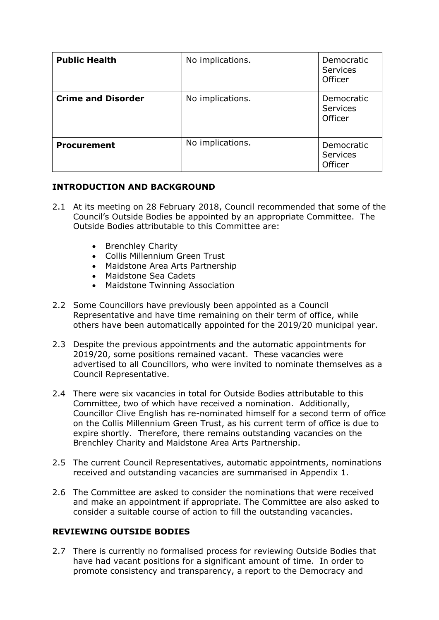| <b>Public Health</b>      | No implications. | Democratic<br><b>Services</b><br>Officer |
|---------------------------|------------------|------------------------------------------|
| <b>Crime and Disorder</b> | No implications. | Democratic<br><b>Services</b><br>Officer |
| <b>Procurement</b>        | No implications. | Democratic<br><b>Services</b><br>Officer |

#### **INTRODUCTION AND BACKGROUND**

- 2.1 At its meeting on 28 February 2018, Council recommended that some of the Council's Outside Bodies be appointed by an appropriate Committee. The Outside Bodies attributable to this Committee are:
	- Brenchley Charity
	- Collis Millennium Green Trust
	- Maidstone Area Arts Partnership
	- Maidstone Sea Cadets
	- Maidstone Twinning Association
- 2.2 Some Councillors have previously been appointed as a Council Representative and have time remaining on their term of office, while others have been automatically appointed for the 2019/20 municipal year.
- 2.3 Despite the previous appointments and the automatic appointments for 2019/20, some positions remained vacant. These vacancies were advertised to all Councillors, who were invited to nominate themselves as a Council Representative.
- 2.4 There were six vacancies in total for Outside Bodies attributable to this Committee, two of which have received a nomination. Additionally, Councillor Clive English has re-nominated himself for a second term of office on the Collis Millennium Green Trust, as his current term of office is due to expire shortly. Therefore, there remains outstanding vacancies on the Brenchley Charity and Maidstone Area Arts Partnership.
- 2.5 The current Council Representatives, automatic appointments, nominations received and outstanding vacancies are summarised in Appendix 1.
- 2.6 The Committee are asked to consider the nominations that were received and make an appointment if appropriate. The Committee are also asked to consider a suitable course of action to fill the outstanding vacancies.

## **REVIEWING OUTSIDE BODIES**

2.7 There is currently no formalised process for reviewing Outside Bodies that have had vacant positions for a significant amount of time. In order to promote consistency and transparency, a report to the Democracy and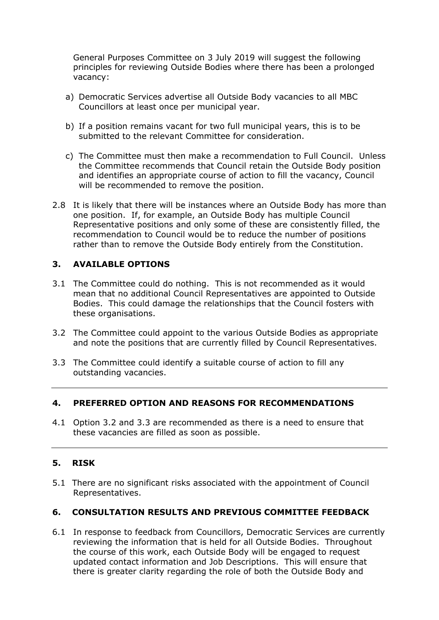General Purposes Committee on 3 July 2019 will suggest the following principles for reviewing Outside Bodies where there has been a prolonged vacancy:

- a) Democratic Services advertise all Outside Body vacancies to all MBC Councillors at least once per municipal year.
- b) If a position remains vacant for two full municipal years, this is to be submitted to the relevant Committee for consideration.
- c) The Committee must then make a recommendation to Full Council. Unless the Committee recommends that Council retain the Outside Body position and identifies an appropriate course of action to fill the vacancy, Council will be recommended to remove the position.
- 2.8 It is likely that there will be instances where an Outside Body has more than one position. If, for example, an Outside Body has multiple Council Representative positions and only some of these are consistently filled, the recommendation to Council would be to reduce the number of positions rather than to remove the Outside Body entirely from the Constitution.

### **3. AVAILABLE OPTIONS**

- 3.1 The Committee could do nothing. This is not recommended as it would mean that no additional Council Representatives are appointed to Outside Bodies. This could damage the relationships that the Council fosters with these organisations.
- 3.2 The Committee could appoint to the various Outside Bodies as appropriate and note the positions that are currently filled by Council Representatives.
- 3.3 The Committee could identify a suitable course of action to fill any outstanding vacancies.

#### **4. PREFERRED OPTION AND REASONS FOR RECOMMENDATIONS**

4.1 Option 3.2 and 3.3 are recommended as there is a need to ensure that these vacancies are filled as soon as possible.

#### **5. RISK**

5.1 There are no significant risks associated with the appointment of Council Representatives.

#### **6. CONSULTATION RESULTS AND PREVIOUS COMMITTEE FEEDBACK**

6.1 In response to feedback from Councillors, Democratic Services are currently reviewing the information that is held for all Outside Bodies. Throughout the course of this work, each Outside Body will be engaged to request updated contact information and Job Descriptions. This will ensure that there is greater clarity regarding the role of both the Outside Body and